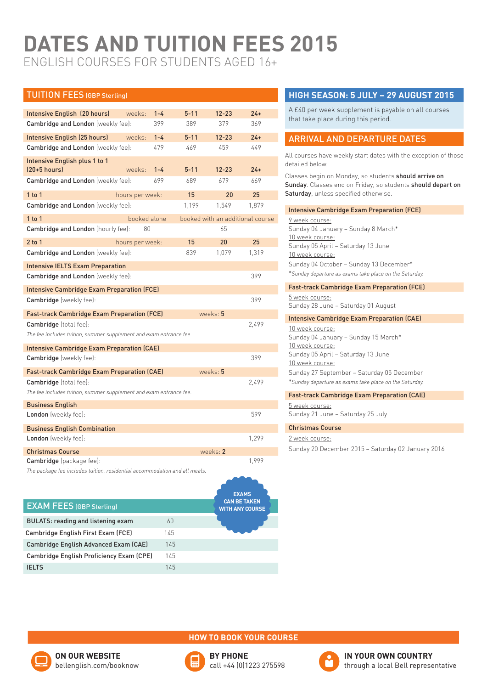# **DATES AND TUITION FEES 2015** english courses for students aged 16+

| <b>TUITION FEES (GBP Sterling)</b>                                         |                 |         |          |           |                                  |
|----------------------------------------------------------------------------|-----------------|---------|----------|-----------|----------------------------------|
|                                                                            |                 |         |          |           |                                  |
| Intensive English (20 hours)                                               | weeks:          | $1 - 4$ | $5 - 11$ | $12 - 23$ | $24+$                            |
| Cambridge and London (weekly fee):                                         |                 | 399     | 389      | 379       | 369                              |
| Intensive English (25 hours)                                               | weeks:          | $1 - 4$ | $5 - 11$ | $12 - 23$ | $24+$                            |
| Cambridge and London (weekly fee):                                         |                 | 479     | 469      | 459       | 449                              |
| Intensive English plus 1 to 1<br>$[20+5$ hours]                            | weeks:          | $1 - 4$ | $5 - 11$ | $12 - 23$ | $24+$                            |
| Cambridge and London (weekly fee):                                         |                 | 699     | 689      | 679       | 669                              |
| $1$ to $1$                                                                 | hours per week: |         | 15       | 20        | 25                               |
| Cambridge and London (weekly fee):                                         |                 |         | 1.199    | 1,549     | 1.879                            |
| $1$ to $1$                                                                 | booked alone    |         |          |           | booked with an additional course |
| Cambridge and London (hourly fee):                                         | 80              |         |          | 65        |                                  |
| $2$ to $1$                                                                 | hours per week: |         | 15       | 20        | 25                               |
| Cambridge and London (weekly fee):                                         |                 |         | 839      | 1,079     | 1,319                            |
| <b>Intensive IELTS Exam Preparation</b>                                    |                 |         |          |           |                                  |
| Cambridge and London (weekly fee):                                         |                 |         |          |           | 399                              |
| <b>Intensive Cambridge Exam Preparation (FCE)</b>                          |                 |         |          |           |                                  |
| <b>Cambridge</b> (weekly fee):                                             |                 |         |          |           | 399                              |
| Fast-track Cambridge Exam Preparation (FCE)                                |                 |         |          | weeks: 5  |                                  |
| <b>Cambridge</b> (total fee):                                              |                 |         |          |           | 2.499                            |
| The fee includes tuition, summer supplement and exam entrance fee.         |                 |         |          |           |                                  |
| <b>Intensive Cambridge Exam Preparation (CAE)</b>                          |                 |         |          |           |                                  |
| <b>Cambridge</b> (weekly fee):                                             |                 |         |          |           | 399                              |
| Fast-track Cambridge Exam Preparation (CAE)                                |                 |         |          | weeks: 5  |                                  |
| <b>Cambridge</b> (total fee):                                              |                 |         |          |           | 2.499                            |
| The fee includes tuition, summer supplement and exam entrance fee.         |                 |         |          |           |                                  |
| <b>Business English</b>                                                    |                 |         |          |           |                                  |
| London (weekly fee):                                                       |                 |         |          |           | 599                              |
| <b>Business English Combination</b>                                        |                 |         |          |           |                                  |
| London (weekly fee):                                                       |                 |         |          |           | 1,299                            |
| <b>Christmas Course</b>                                                    |                 |         |          | WPRs.     |                                  |
| Cambridge (package fee):                                                   |                 |         |          |           | 1,999                            |
| The package fee includes tuition, residential accommodation and all meals. |                 |         |          |           |                                  |

|                                           |     | <b>EXAMS</b>                                  |
|-------------------------------------------|-----|-----------------------------------------------|
| <b>EXAM FEES (GBP Sterling)</b>           |     | <b>CAN BE TAKEN</b><br><b>WITH ANY COURSE</b> |
| <b>BULATS: reading and listening exam</b> | 60  |                                               |
| Cambridge English First Exam (FCE)        | 145 |                                               |
| Cambridge English Advanced Exam (CAE)     | 145 |                                               |
| Cambridge English Proficiency Exam (CPE)  | 145 |                                               |
| <b>IFITS</b>                              | 145 |                                               |

# **High season: 5 July – 29 August 2015**

A £40 per week supplement is payable on all courses that take place during this period.

# Arrival and departure dates

All courses have weekly start dates with the exception of those detailed below.

Classes begin on Monday, so students should arrive on Sunday. Classes end on Friday, so students should depart on Saturday, unless specified otherwise.

### Intensive Cambridge Exam Preparation (FCE)

9 week course: Sunday 04 January – Sunday 8 March\* 10 week course: Sunday 05 April – Saturday 13 June 10 week course: Sunday 04 October – Sunday 13 December\* \**Sunday departure as exams take place on the Saturday.*

#### Fast-track Cambridge Exam Preparation (FCE) 5 week course:

Sunday 28 June – Saturday 01 August

## Intensive Cambridge Exam Preparation (CAE)

10 week course: Sunday 04 January – Sunday 15 March\* 10 week course: Sunday 05 April – Saturday 13 June 10 week course: Sunday 27 September – Saturday 05 December \**Sunday departure as exams take place on the Saturday.*

## Fast-track Cambridge Exam Preparation (CAE)

5 week course: Sunday 21 June – Saturday 25 July

#### Christmas Course

#### 2 week course:

Sunday 20 December 2015 – Saturday 02 January 2016



## **how to book your course**